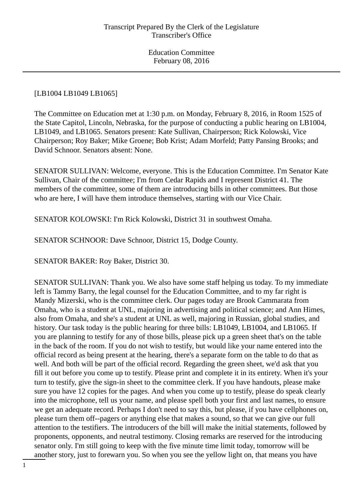## [LB1004 LB1049 LB1065]

The Committee on Education met at 1:30 p.m. on Monday, February 8, 2016, in Room 1525 of the State Capitol, Lincoln, Nebraska, for the purpose of conducting a public hearing on LB1004, LB1049, and LB1065. Senators present: Kate Sullivan, Chairperson; Rick Kolowski, Vice Chairperson; Roy Baker; Mike Groene; Bob Krist; Adam Morfeld; Patty Pansing Brooks; and David Schnoor. Senators absent: None.

SENATOR SULLIVAN: Welcome, everyone. This is the Education Committee. I'm Senator Kate Sullivan, Chair of the committee; I'm from Cedar Rapids and I represent District 41. The members of the committee, some of them are introducing bills in other committees. But those who are here, I will have them introduce themselves, starting with our Vice Chair.

SENATOR KOLOWSKI: I'm Rick Kolowski, District 31 in southwest Omaha.

SENATOR SCHNOOR: Dave Schnoor, District 15, Dodge County.

SENATOR BAKER: Roy Baker, District 30.

SENATOR SULLIVAN: Thank you. We also have some staff helping us today. To my immediate left is Tammy Barry, the legal counsel for the Education Committee, and to my far right is Mandy Mizerski, who is the committee clerk. Our pages today are Brook Cammarata from Omaha, who is a student at UNL, majoring in advertising and political science; and Ann Himes, also from Omaha, and she's a student at UNL as well, majoring in Russian, global studies, and history. Our task today is the public hearing for three bills: LB1049, LB1004, and LB1065. If you are planning to testify for any of those bills, please pick up a green sheet that's on the table in the back of the room. If you do not wish to testify, but would like your name entered into the official record as being present at the hearing, there's a separate form on the table to do that as well. And both will be part of the official record. Regarding the green sheet, we'd ask that you fill it out before you come up to testify. Please print and complete it in its entirety. When it's your turn to testify, give the sign-in sheet to the committee clerk. If you have handouts, please make sure you have 12 copies for the pages. And when you come up to testify, please do speak clearly into the microphone, tell us your name, and please spell both your first and last names, to ensure we get an adequate record. Perhaps I don't need to say this, but please, if you have cellphones on, please turn them off--pagers or anything else that makes a sound, so that we can give our full attention to the testifiers. The introducers of the bill will make the initial statements, followed by proponents, opponents, and neutral testimony. Closing remarks are reserved for the introducing senator only. I'm still going to keep with the five minute time limit today, tomorrow will be another story, just to forewarn you. So when you see the yellow light on, that means you have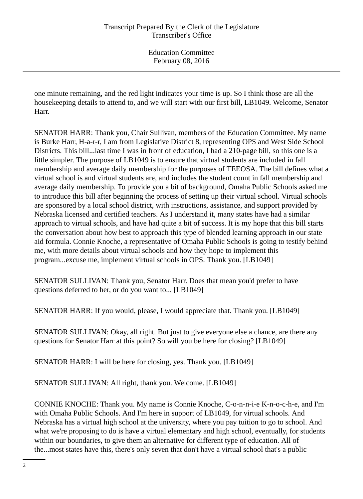one minute remaining, and the red light indicates your time is up. So I think those are all the housekeeping details to attend to, and we will start with our first bill, LB1049. Welcome, Senator Harr.

SENATOR HARR: Thank you, Chair Sullivan, members of the Education Committee. My name is Burke Harr, H-a-r-r, I am from Legislative District 8, representing OPS and West Side School Districts. This bill...last time I was in front of education, I had a 210-page bill, so this one is a little simpler. The purpose of LB1049 is to ensure that virtual students are included in fall membership and average daily membership for the purposes of TEEOSA. The bill defines what a virtual school is and virtual students are, and includes the student count in fall membership and average daily membership. To provide you a bit of background, Omaha Public Schools asked me to introduce this bill after beginning the process of setting up their virtual school. Virtual schools are sponsored by a local school district, with instructions, assistance, and support provided by Nebraska licensed and certified teachers. As I understand it, many states have had a similar approach to virtual schools, and have had quite a bit of success. It is my hope that this bill starts the conversation about how best to approach this type of blended learning approach in our state aid formula. Connie Knoche, a representative of Omaha Public Schools is going to testify behind me, with more details about virtual schools and how they hope to implement this program...excuse me, implement virtual schools in OPS. Thank you. [LB1049]

SENATOR SULLIVAN: Thank you, Senator Harr. Does that mean you'd prefer to have questions deferred to her, or do you want to... [LB1049]

SENATOR HARR: If you would, please, I would appreciate that. Thank you. [LB1049]

SENATOR SULLIVAN: Okay, all right. But just to give everyone else a chance, are there any questions for Senator Harr at this point? So will you be here for closing? [LB1049]

SENATOR HARR: I will be here for closing, yes. Thank you. [LB1049]

SENATOR SULLIVAN: All right, thank you. Welcome. [LB1049]

CONNIE KNOCHE: Thank you. My name is Connie Knoche, C-o-n-n-i-e K-n-o-c-h-e, and I'm with Omaha Public Schools. And I'm here in support of LB1049, for virtual schools. And Nebraska has a virtual high school at the university, where you pay tuition to go to school. And what we're proposing to do is have a virtual elementary and high school, eventually, for students within our boundaries, to give them an alternative for different type of education. All of the...most states have this, there's only seven that don't have a virtual school that's a public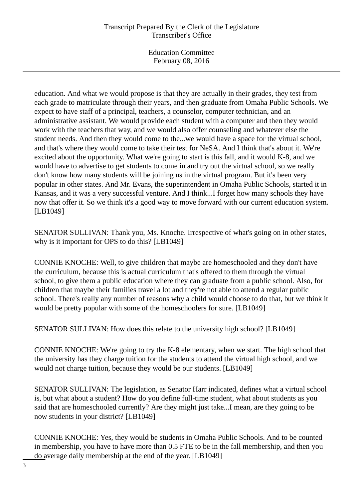# Transcript Prepared By the Clerk of the Legislature Transcriber's Office

Education Committee February 08, 2016

education. And what we would propose is that they are actually in their grades, they test from each grade to matriculate through their years, and then graduate from Omaha Public Schools. We expect to have staff of a principal, teachers, a counselor, computer technician, and an administrative assistant. We would provide each student with a computer and then they would work with the teachers that way, and we would also offer counseling and whatever else the student needs. And then they would come to the...we would have a space for the virtual school, and that's where they would come to take their test for NeSA. And I think that's about it. We're excited about the opportunity. What we're going to start is this fall, and it would K-8, and we would have to advertise to get students to come in and try out the virtual school, so we really don't know how many students will be joining us in the virtual program. But it's been very popular in other states. And Mr. Evans, the superintendent in Omaha Public Schools, started it in Kansas, and it was a very successful venture. And I think...I forget how many schools they have now that offer it. So we think it's a good way to move forward with our current education system. [LB1049]

SENATOR SULLIVAN: Thank you, Ms. Knoche. Irrespective of what's going on in other states, why is it important for OPS to do this? [LB1049]

CONNIE KNOCHE: Well, to give children that maybe are homeschooled and they don't have the curriculum, because this is actual curriculum that's offered to them through the virtual school, to give them a public education where they can graduate from a public school. Also, for children that maybe their families travel a lot and they're not able to attend a regular public school. There's really any number of reasons why a child would choose to do that, but we think it would be pretty popular with some of the homeschoolers for sure. [LB1049]

SENATOR SULLIVAN: How does this relate to the university high school? [LB1049]

CONNIE KNOCHE: We're going to try the K-8 elementary, when we start. The high school that the university has they charge tuition for the students to attend the virtual high school, and we would not charge tuition, because they would be our students. [LB1049]

SENATOR SULLIVAN: The legislation, as Senator Harr indicated, defines what a virtual school is, but what about a student? How do you define full-time student, what about students as you said that are homeschooled currently? Are they might just take...I mean, are they going to be now students in your district? [LB1049]

CONNIE KNOCHE: Yes, they would be students in Omaha Public Schools. And to be counted in membership, you have to have more than 0.5 FTE to be in the fall membership, and then you do average daily membership at the end of the year. [LB1049]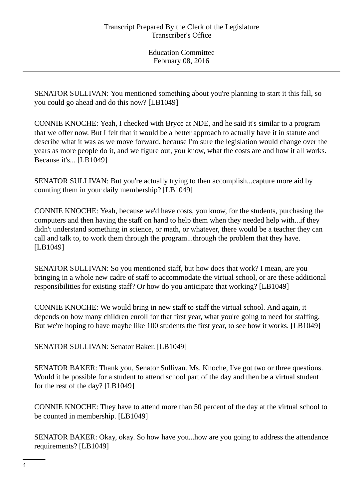SENATOR SULLIVAN: You mentioned something about you're planning to start it this fall, so you could go ahead and do this now? [LB1049]

CONNIE KNOCHE: Yeah, I checked with Bryce at NDE, and he said it's similar to a program that we offer now. But I felt that it would be a better approach to actually have it in statute and describe what it was as we move forward, because I'm sure the legislation would change over the years as more people do it, and we figure out, you know, what the costs are and how it all works. Because it's... [LB1049]

SENATOR SULLIVAN: But you're actually trying to then accomplish...capture more aid by counting them in your daily membership? [LB1049]

CONNIE KNOCHE: Yeah, because we'd have costs, you know, for the students, purchasing the computers and then having the staff on hand to help them when they needed help with...if they didn't understand something in science, or math, or whatever, there would be a teacher they can call and talk to, to work them through the program...through the problem that they have. [LB1049]

SENATOR SULLIVAN: So you mentioned staff, but how does that work? I mean, are you bringing in a whole new cadre of staff to accommodate the virtual school, or are these additional responsibilities for existing staff? Or how do you anticipate that working? [LB1049]

CONNIE KNOCHE: We would bring in new staff to staff the virtual school. And again, it depends on how many children enroll for that first year, what you're going to need for staffing. But we're hoping to have maybe like 100 students the first year, to see how it works. [LB1049]

SENATOR SULLIVAN: Senator Baker. [LB1049]

SENATOR BAKER: Thank you, Senator Sullivan. Ms. Knoche, I've got two or three questions. Would it be possible for a student to attend school part of the day and then be a virtual student for the rest of the day? [LB1049]

CONNIE KNOCHE: They have to attend more than 50 percent of the day at the virtual school to be counted in membership. [LB1049]

SENATOR BAKER: Okay, okay. So how have you...how are you going to address the attendance requirements? [LB1049]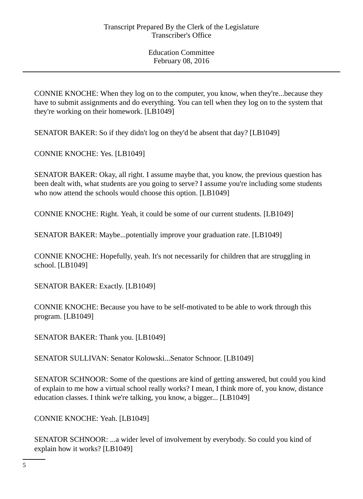CONNIE KNOCHE: When they log on to the computer, you know, when they're...because they have to submit assignments and do everything. You can tell when they log on to the system that they're working on their homework. [LB1049]

SENATOR BAKER: So if they didn't log on they'd be absent that day? [LB1049]

CONNIE KNOCHE: Yes. [LB1049]

SENATOR BAKER: Okay, all right. I assume maybe that, you know, the previous question has been dealt with, what students are you going to serve? I assume you're including some students who now attend the schools would choose this option. [LB1049]

CONNIE KNOCHE: Right. Yeah, it could be some of our current students. [LB1049]

SENATOR BAKER: Maybe...potentially improve your graduation rate. [LB1049]

CONNIE KNOCHE: Hopefully, yeah. It's not necessarily for children that are struggling in school. [LB1049]

SENATOR BAKER: Exactly. [LB1049]

CONNIE KNOCHE: Because you have to be self-motivated to be able to work through this program. [LB1049]

SENATOR BAKER: Thank you. [LB1049]

SENATOR SULLIVAN: Senator Kolowski...Senator Schnoor. [LB1049]

SENATOR SCHNOOR: Some of the questions are kind of getting answered, but could you kind of explain to me how a virtual school really works? I mean, I think more of, you know, distance education classes. I think we're talking, you know, a bigger... [LB1049]

CONNIE KNOCHE: Yeah. [LB1049]

SENATOR SCHNOOR: ...a wider level of involvement by everybody. So could you kind of explain how it works? [LB1049]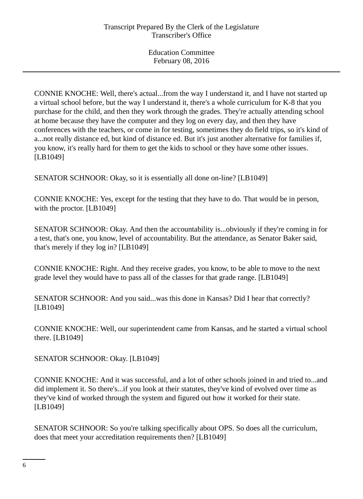CONNIE KNOCHE: Well, there's actual...from the way I understand it, and I have not started up a virtual school before, but the way I understand it, there's a whole curriculum for K-8 that you purchase for the child, and then they work through the grades. They're actually attending school at home because they have the computer and they log on every day, and then they have conferences with the teachers, or come in for testing, sometimes they do field trips, so it's kind of a...not really distance ed, but kind of distance ed. But it's just another alternative for families if, you know, it's really hard for them to get the kids to school or they have some other issues. [LB1049]

SENATOR SCHNOOR: Okay, so it is essentially all done on-line? [LB1049]

CONNIE KNOCHE: Yes, except for the testing that they have to do. That would be in person, with the proctor. [LB1049]

SENATOR SCHNOOR: Okay. And then the accountability is...obviously if they're coming in for a test, that's one, you know, level of accountability. But the attendance, as Senator Baker said, that's merely if they log in? [LB1049]

CONNIE KNOCHE: Right. And they receive grades, you know, to be able to move to the next grade level they would have to pass all of the classes for that grade range. [LB1049]

SENATOR SCHNOOR: And you said...was this done in Kansas? Did I hear that correctly? [LB1049]

CONNIE KNOCHE: Well, our superintendent came from Kansas, and he started a virtual school there. [LB1049]

SENATOR SCHNOOR: Okay. [LB1049]

CONNIE KNOCHE: And it was successful, and a lot of other schools joined in and tried to...and did implement it. So there's...if you look at their statutes, they've kind of evolved over time as they've kind of worked through the system and figured out how it worked for their state. [LB1049]

SENATOR SCHNOOR: So you're talking specifically about OPS. So does all the curriculum, does that meet your accreditation requirements then? [LB1049]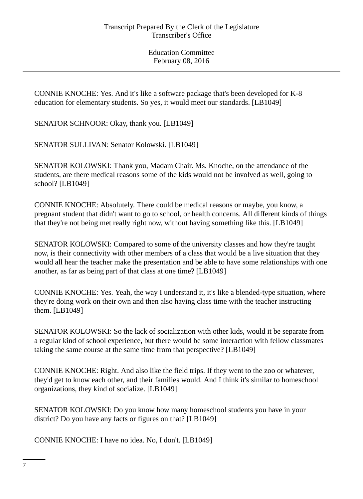CONNIE KNOCHE: Yes. And it's like a software package that's been developed for K-8 education for elementary students. So yes, it would meet our standards. [LB1049]

SENATOR SCHNOOR: Okay, thank you. [LB1049]

SENATOR SULLIVAN: Senator Kolowski. [LB1049]

SENATOR KOLOWSKI: Thank you, Madam Chair. Ms. Knoche, on the attendance of the students, are there medical reasons some of the kids would not be involved as well, going to school? [LB1049]

CONNIE KNOCHE: Absolutely. There could be medical reasons or maybe, you know, a pregnant student that didn't want to go to school, or health concerns. All different kinds of things that they're not being met really right now, without having something like this. [LB1049]

SENATOR KOLOWSKI: Compared to some of the university classes and how they're taught now, is their connectivity with other members of a class that would be a live situation that they would all hear the teacher make the presentation and be able to have some relationships with one another, as far as being part of that class at one time? [LB1049]

CONNIE KNOCHE: Yes. Yeah, the way I understand it, it's like a blended-type situation, where they're doing work on their own and then also having class time with the teacher instructing them. [LB1049]

SENATOR KOLOWSKI: So the lack of socialization with other kids, would it be separate from a regular kind of school experience, but there would be some interaction with fellow classmates taking the same course at the same time from that perspective? [LB1049]

CONNIE KNOCHE: Right. And also like the field trips. If they went to the zoo or whatever, they'd get to know each other, and their families would. And I think it's similar to homeschool organizations, they kind of socialize. [LB1049]

SENATOR KOLOWSKI: Do you know how many homeschool students you have in your district? Do you have any facts or figures on that? [LB1049]

CONNIE KNOCHE: I have no idea. No, I don't. [LB1049]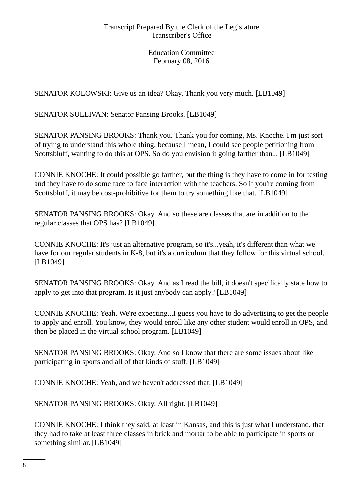SENATOR KOLOWSKI: Give us an idea? Okay. Thank you very much. [LB1049]

SENATOR SULLIVAN: Senator Pansing Brooks. [LB1049]

SENATOR PANSING BROOKS: Thank you. Thank you for coming, Ms. Knoche. I'm just sort of trying to understand this whole thing, because I mean, I could see people petitioning from Scottsbluff, wanting to do this at OPS. So do you envision it going farther than... [LB1049]

CONNIE KNOCHE: It could possible go farther, but the thing is they have to come in for testing and they have to do some face to face interaction with the teachers. So if you're coming from Scottsbluff, it may be cost-prohibitive for them to try something like that. [LB1049]

SENATOR PANSING BROOKS: Okay. And so these are classes that are in addition to the regular classes that OPS has? [LB1049]

CONNIE KNOCHE: It's just an alternative program, so it's...yeah, it's different than what we have for our regular students in K-8, but it's a curriculum that they follow for this virtual school. [LB1049]

SENATOR PANSING BROOKS: Okay. And as I read the bill, it doesn't specifically state how to apply to get into that program. Is it just anybody can apply? [LB1049]

CONNIE KNOCHE: Yeah. We're expecting...I guess you have to do advertising to get the people to apply and enroll. You know, they would enroll like any other student would enroll in OPS, and then be placed in the virtual school program. [LB1049]

SENATOR PANSING BROOKS: Okay. And so I know that there are some issues about like participating in sports and all of that kinds of stuff. [LB1049]

CONNIE KNOCHE: Yeah, and we haven't addressed that. [LB1049]

SENATOR PANSING BROOKS: Okay. All right. [LB1049]

CONNIE KNOCHE: I think they said, at least in Kansas, and this is just what I understand, that they had to take at least three classes in brick and mortar to be able to participate in sports or something similar. [LB1049]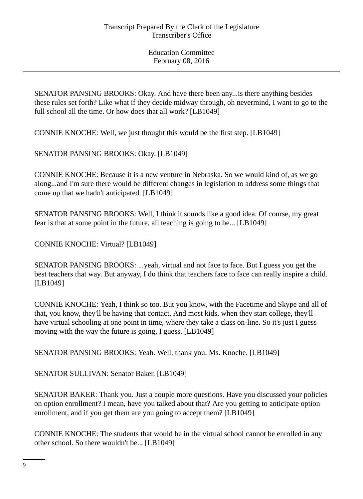SENATOR PANSING BROOKS: Okay. And have there been any...is there anything besides these rules set forth? Like what if they decide midway through, oh nevermind, I want to go to the full school all the time. Or how does that all work? [LB1049]

CONNIE KNOCHE: Well, we just thought this would be the first step. [LB1049]

SENATOR PANSING BROOKS: Okay. [LB1049]

CONNIE KNOCHE: Because it is a new venture in Nebraska. So we would kind of, as we go along...and I'm sure there would be different changes in legislation to address some things that come up that we hadn't anticipated. [LB1049]

SENATOR PANSING BROOKS: Well, I think it sounds like a good idea. Of course, my great fear is that at some point in the future, all teaching is going to be... [LB1049]

CONNIE KNOCHE: Virtual? [LB1049]

SENATOR PANSING BROOKS: ...yeah, virtual and not face to face. But I guess you get the best teachers that way. But anyway, I do think that teachers face to face can really inspire a child. [LB1049]

CONNIE KNOCHE: Yeah, I think so too. But you know, with the Facetime and Skype and all of that, you know, they'll be having that contact. And most kids, when they start college, they'll have virtual schooling at one point in time, where they take a class on-line. So it's just I guess moving with the way the future is going, I guess. [LB1049]

SENATOR PANSING BROOKS: Yeah. Well, thank you, Ms. Knoche. [LB1049]

SENATOR SULLIVAN: Senator Baker. [LB1049]

SENATOR BAKER: Thank you. Just a couple more questions. Have you discussed your policies on option enrollment? I mean, have you talked about that? Are you getting to anticipate option enrollment, and if you get them are you going to accept them? [LB1049]

CONNIE KNOCHE: The students that would be in the virtual school cannot be enrolled in any other school. So there wouldn't be... [LB1049]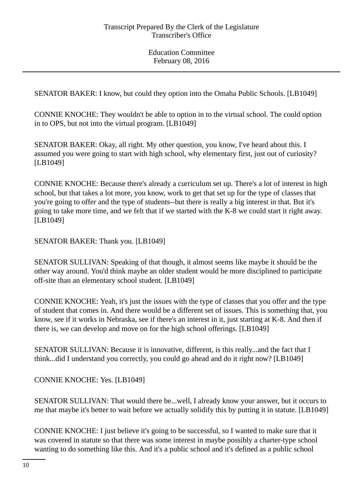SENATOR BAKER: I know, but could they option into the Omaha Public Schools. [LB1049]

CONNIE KNOCHE: They wouldn't be able to option in to the virtual school. The could option in to OPS, but not into the virtual program. [LB1049]

SENATOR BAKER: Okay, all right. My other question, you know, I've heard about this. I assumed you were going to start with high school, why elementary first, just out of curiosity? [LB1049]

CONNIE KNOCHE: Because there's already a curriculum set up. There's a lot of interest in high school, but that takes a lot more, you know, work to get that set up for the type of classes that you're going to offer and the type of students--but there is really a big interest in that. But it's going to take more time, and we felt that if we started with the K-8 we could start it right away. [LB1049]

SENATOR BAKER: Thank you. [LB1049]

SENATOR SULLIVAN: Speaking of that though, it almost seems like maybe it should be the other way around. You'd think maybe an older student would be more disciplined to participate off-site than an elementary school student. [LB1049]

CONNIE KNOCHE: Yeah, it's just the issues with the type of classes that you offer and the type of student that comes in. And there would be a different set of issues. This is something that, you know, see if it works in Nebraska, see if there's an interest in it, just starting at K-8. And then if there is, we can develop and move on for the high school offerings. [LB1049]

SENATOR SULLIVAN: Because it is innovative, different, is this really...and the fact that I think...did I understand you correctly, you could go ahead and do it right now? [LB1049]

CONNIE KNOCHE: Yes. [LB1049]

SENATOR SULLIVAN: That would there be...well, I already know your answer, but it occurs to me that maybe it's better to wait before we actually solidify this by putting it in statute. [LB1049]

CONNIE KNOCHE: I just believe it's going to be successful, so I wanted to make sure that it was covered in statute so that there was some interest in maybe possibly a charter-type school wanting to do something like this. And it's a public school and it's defined as a public school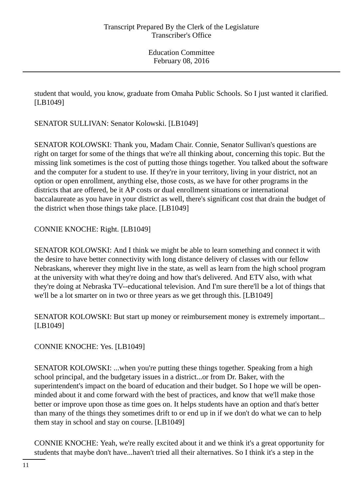student that would, you know, graduate from Omaha Public Schools. So I just wanted it clarified. [LB1049]

SENATOR SULLIVAN: Senator Kolowski. [LB1049]

SENATOR KOLOWSKI: Thank you, Madam Chair. Connie, Senator Sullivan's questions are right on target for some of the things that we're all thinking about, concerning this topic. But the missing link sometimes is the cost of putting those things together. You talked about the software and the computer for a student to use. If they're in your territory, living in your district, not an option or open enrollment, anything else, those costs, as we have for other programs in the districts that are offered, be it AP costs or dual enrollment situations or international baccalaureate as you have in your district as well, there's significant cost that drain the budget of the district when those things take place. [LB1049]

CONNIE KNOCHE: Right. [LB1049]

SENATOR KOLOWSKI: And I think we might be able to learn something and connect it with the desire to have better connectivity with long distance delivery of classes with our fellow Nebraskans, wherever they might live in the state, as well as learn from the high school program at the university with what they're doing and how that's delivered. And ETV also, with what they're doing at Nebraska TV--educational television. And I'm sure there'll be a lot of things that we'll be a lot smarter on in two or three years as we get through this. [LB1049]

SENATOR KOLOWSKI: But start up money or reimbursement money is extremely important... [LB1049]

CONNIE KNOCHE: Yes. [LB1049]

SENATOR KOLOWSKI: ...when you're putting these things together. Speaking from a high school principal, and the budgetary issues in a district...or from Dr. Baker, with the superintendent's impact on the board of education and their budget. So I hope we will be openminded about it and come forward with the best of practices, and know that we'll make those better or improve upon those as time goes on. It helps students have an option and that's better than many of the things they sometimes drift to or end up in if we don't do what we can to help them stay in school and stay on course. [LB1049]

CONNIE KNOCHE: Yeah, we're really excited about it and we think it's a great opportunity for students that maybe don't have...haven't tried all their alternatives. So I think it's a step in the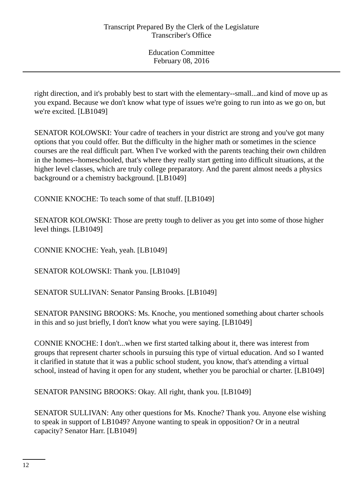right direction, and it's probably best to start with the elementary--small...and kind of move up as you expand. Because we don't know what type of issues we're going to run into as we go on, but we're excited. [LB1049]

SENATOR KOLOWSKI: Your cadre of teachers in your district are strong and you've got many options that you could offer. But the difficulty in the higher math or sometimes in the science courses are the real difficult part. When I've worked with the parents teaching their own children in the homes--homeschooled, that's where they really start getting into difficult situations, at the higher level classes, which are truly college preparatory. And the parent almost needs a physics background or a chemistry background. [LB1049]

CONNIE KNOCHE: To teach some of that stuff. [LB1049]

SENATOR KOLOWSKI: Those are pretty tough to deliver as you get into some of those higher level things. [LB1049]

CONNIE KNOCHE: Yeah, yeah. [LB1049]

SENATOR KOLOWSKI: Thank you. [LB1049]

SENATOR SULLIVAN: Senator Pansing Brooks. [LB1049]

SENATOR PANSING BROOKS: Ms. Knoche, you mentioned something about charter schools in this and so just briefly, I don't know what you were saying. [LB1049]

CONNIE KNOCHE: I don't...when we first started talking about it, there was interest from groups that represent charter schools in pursuing this type of virtual education. And so I wanted it clarified in statute that it was a public school student, you know, that's attending a virtual school, instead of having it open for any student, whether you be parochial or charter. [LB1049]

SENATOR PANSING BROOKS: Okay. All right, thank you. [LB1049]

SENATOR SULLIVAN: Any other questions for Ms. Knoche? Thank you. Anyone else wishing to speak in support of LB1049? Anyone wanting to speak in opposition? Or in a neutral capacity? Senator Harr. [LB1049]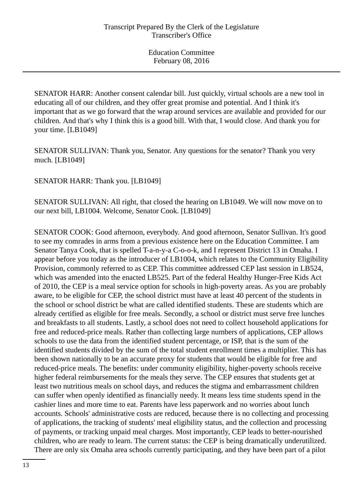SENATOR HARR: Another consent calendar bill. Just quickly, virtual schools are a new tool in educating all of our children, and they offer great promise and potential. And I think it's important that as we go forward that the wrap around services are available and provided for our children. And that's why I think this is a good bill. With that, I would close. And thank you for your time. [LB1049]

SENATOR SULLIVAN: Thank you, Senator. Any questions for the senator? Thank you very much. [LB1049]

SENATOR HARR: Thank you. [LB1049]

SENATOR SULLIVAN: All right, that closed the hearing on LB1049. We will now move on to our next bill, LB1004. Welcome, Senator Cook. [LB1049]

SENATOR COOK: Good afternoon, everybody. And good afternoon, Senator Sullivan. It's good to see my comrades in arms from a previous existence here on the Education Committee. I am Senator Tanya Cook, that is spelled T-a-n-y-a C-o-o-k, and I represent District 13 in Omaha. I appear before you today as the introducer of LB1004, which relates to the Community Eligibility Provision, commonly referred to as CEP. This committee addressed CEP last session in LB524, which was amended into the enacted LB525. Part of the federal Healthy Hunger-Free Kids Act of 2010, the CEP is a meal service option for schools in high-poverty areas. As you are probably aware, to be eligible for CEP, the school district must have at least 40 percent of the students in the school or school district be what are called identified students. These are students which are already certified as eligible for free meals. Secondly, a school or district must serve free lunches and breakfasts to all students. Lastly, a school does not need to collect household applications for free and reduced-price meals. Rather than collecting large numbers of applications, CEP allows schools to use the data from the identified student percentage, or ISP, that is the sum of the identified students divided by the sum of the total student enrollment times a multiplier. This has been shown nationally to be an accurate proxy for students that would be eligible for free and reduced-price meals. The benefits: under community eligibility, higher-poverty schools receive higher federal reimbursements for the meals they serve. The CEP ensures that students get at least two nutritious meals on school days, and reduces the stigma and embarrassment children can suffer when openly identified as financially needy. It means less time students spend in the cashier lines and more time to eat. Parents have less paperwork and no worries about lunch accounts. Schools' administrative costs are reduced, because there is no collecting and processing of applications, the tracking of students' meal eligibility status, and the collection and processing of payments, or tracking unpaid meal charges. Most importantly, CEP leads to better-nourished children, who are ready to learn. The current status: the CEP is being dramatically underutilized. There are only six Omaha area schools currently participating, and they have been part of a pilot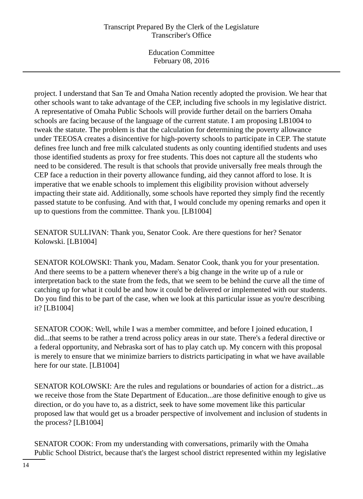# Transcript Prepared By the Clerk of the Legislature Transcriber's Office

Education Committee February 08, 2016

project. I understand that San Te and Omaha Nation recently adopted the provision. We hear that other schools want to take advantage of the CEP, including five schools in my legislative district. A representative of Omaha Public Schools will provide further detail on the barriers Omaha schools are facing because of the language of the current statute. I am proposing LB1004 to tweak the statute. The problem is that the calculation for determining the poverty allowance under TEEOSA creates a disincentive for high-poverty schools to participate in CEP. The statute defines free lunch and free milk calculated students as only counting identified students and uses those identified students as proxy for free students. This does not capture all the students who need to be considered. The result is that schools that provide universally free meals through the CEP face a reduction in their poverty allowance funding, aid they cannot afford to lose. It is imperative that we enable schools to implement this eligibility provision without adversely impacting their state aid. Additionally, some schools have reported they simply find the recently passed statute to be confusing. And with that, I would conclude my opening remarks and open it up to questions from the committee. Thank you. [LB1004]

SENATOR SULLIVAN: Thank you, Senator Cook. Are there questions for her? Senator Kolowski. [LB1004]

SENATOR KOLOWSKI: Thank you, Madam. Senator Cook, thank you for your presentation. And there seems to be a pattern whenever there's a big change in the write up of a rule or interpretation back to the state from the feds, that we seem to be behind the curve all the time of catching up for what it could be and how it could be delivered or implemented with our students. Do you find this to be part of the case, when we look at this particular issue as you're describing it? [LB1004]

SENATOR COOK: Well, while I was a member committee, and before I joined education, I did...that seems to be rather a trend across policy areas in our state. There's a federal directive or a federal opportunity, and Nebraska sort of has to play catch up. My concern with this proposal is merely to ensure that we minimize barriers to districts participating in what we have available here for our state. [LB1004]

SENATOR KOLOWSKI: Are the rules and regulations or boundaries of action for a district...as we receive those from the State Department of Education...are those definitive enough to give us direction, or do you have to, as a district, seek to have some movement like this particular proposed law that would get us a broader perspective of involvement and inclusion of students in the process? [LB1004]

SENATOR COOK: From my understanding with conversations, primarily with the Omaha Public School District, because that's the largest school district represented within my legislative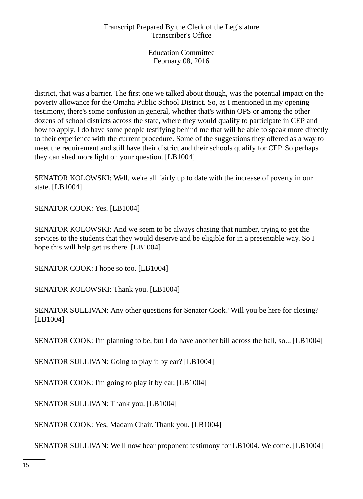district, that was a barrier. The first one we talked about though, was the potential impact on the poverty allowance for the Omaha Public School District. So, as I mentioned in my opening testimony, there's some confusion in general, whether that's within OPS or among the other dozens of school districts across the state, where they would qualify to participate in CEP and how to apply. I do have some people testifying behind me that will be able to speak more directly to their experience with the current procedure. Some of the suggestions they offered as a way to meet the requirement and still have their district and their schools qualify for CEP. So perhaps they can shed more light on your question. [LB1004]

SENATOR KOLOWSKI: Well, we're all fairly up to date with the increase of poverty in our state. [LB1004]

SENATOR COOK: Yes. [LB1004]

SENATOR KOLOWSKI: And we seem to be always chasing that number, trying to get the services to the students that they would deserve and be eligible for in a presentable way. So I hope this will help get us there. [LB1004]

SENATOR COOK: I hope so too. [LB1004]

SENATOR KOLOWSKI: Thank you. [LB1004]

SENATOR SULLIVAN: Any other questions for Senator Cook? Will you be here for closing? [LB1004]

SENATOR COOK: I'm planning to be, but I do have another bill across the hall, so... [LB1004]

SENATOR SULLIVAN: Going to play it by ear? [LB1004]

SENATOR COOK: I'm going to play it by ear. [LB1004]

SENATOR SULLIVAN: Thank you. [LB1004]

SENATOR COOK: Yes, Madam Chair. Thank you. [LB1004]

SENATOR SULLIVAN: We'll now hear proponent testimony for LB1004. Welcome. [LB1004]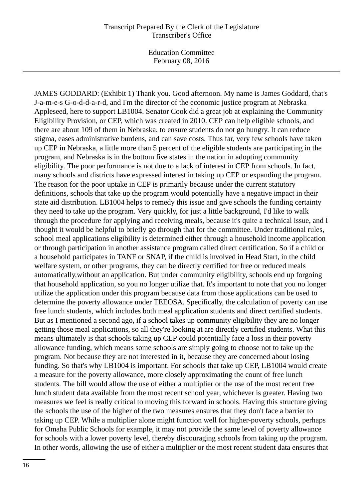### Transcript Prepared By the Clerk of the Legislature Transcriber's Office

Education Committee February 08, 2016

JAMES GODDARD: (Exhibit 1) Thank you. Good afternoon. My name is James Goddard, that's J-a-m-e-s G-o-d-d-a-r-d, and I'm the director of the economic justice program at Nebraska Appleseed, here to support LB1004. Senator Cook did a great job at explaining the Community Eligibility Provision, or CEP, which was created in 2010. CEP can help eligible schools, and there are about 109 of them in Nebraska, to ensure students do not go hungry. It can reduce stigma, eases administrative burdens, and can save costs. Thus far, very few schools have taken up CEP in Nebraska, a little more than 5 percent of the eligible students are participating in the program, and Nebraska is in the bottom five states in the nation in adopting community eligibility. The poor performance is not due to a lack of interest in CEP from schools. In fact, many schools and districts have expressed interest in taking up CEP or expanding the program. The reason for the poor uptake in CEP is primarily because under the current statutory definitions, schools that take up the program would potentially have a negative impact in their state aid distribution. LB1004 helps to remedy this issue and give schools the funding certainty they need to take up the program. Very quickly, for just a little background, I'd like to walk through the procedure for applying and receiving meals, because it's quite a technical issue, and I thought it would be helpful to briefly go through that for the committee. Under traditional rules, school meal applications eligibility is determined either through a household income application or through participation in another assistance program called direct certification. So if a child or a household participates in TANF or SNAP, if the child is involved in Head Start, in the child welfare system, or other programs, they can be directly certified for free or reduced meals automatically,without an application. But under community eligibility, schools end up forgoing that household application, so you no longer utilize that. It's important to note that you no longer utilize the application under this program because data from those applications can be used to determine the poverty allowance under TEEOSA. Specifically, the calculation of poverty can use free lunch students, which includes both meal application students and direct certified students. But as I mentioned a second ago, if a school takes up community eligibility they are no longer getting those meal applications, so all they're looking at are directly certified students. What this means ultimately is that schools taking up CEP could potentially face a loss in their poverty allowance funding, which means some schools are simply going to choose not to take up the program. Not because they are not interested in it, because they are concerned about losing funding. So that's why LB1004 is important. For schools that take up CEP, LB1004 would create a measure for the poverty allowance, more closely approximating the count of free lunch students. The bill would allow the use of either a multiplier or the use of the most recent free lunch student data available from the most recent school year, whichever is greater. Having two measures we feel is really critical to moving this forward in schools. Having this structure giving the schools the use of the higher of the two measures ensures that they don't face a barrier to taking up CEP. While a multiplier alone might function well for higher-poverty schools, perhaps for Omaha Public Schools for example, it may not provide the same level of poverty allowance for schools with a lower poverty level, thereby discouraging schools from taking up the program. In other words, allowing the use of either a multiplier or the most recent student data ensures that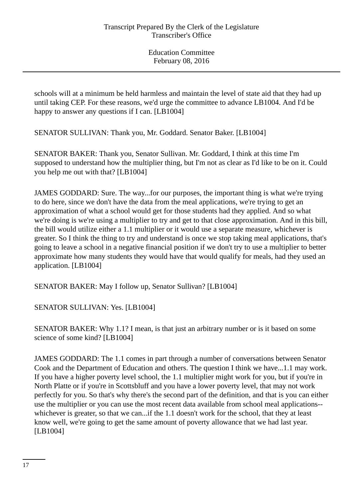schools will at a minimum be held harmless and maintain the level of state aid that they had up until taking CEP. For these reasons, we'd urge the committee to advance LB1004. And I'd be happy to answer any questions if I can. [LB1004]

SENATOR SULLIVAN: Thank you, Mr. Goddard. Senator Baker. [LB1004]

SENATOR BAKER: Thank you, Senator Sullivan. Mr. Goddard, I think at this time I'm supposed to understand how the multiplier thing, but I'm not as clear as I'd like to be on it. Could you help me out with that? [LB1004]

JAMES GODDARD: Sure. The way...for our purposes, the important thing is what we're trying to do here, since we don't have the data from the meal applications, we're trying to get an approximation of what a school would get for those students had they applied. And so what we're doing is we're using a multiplier to try and get to that close approximation. And in this bill, the bill would utilize either a 1.1 multiplier or it would use a separate measure, whichever is greater. So I think the thing to try and understand is once we stop taking meal applications, that's going to leave a school in a negative financial position if we don't try to use a multiplier to better approximate how many students they would have that would qualify for meals, had they used an application. [LB1004]

SENATOR BAKER: May I follow up, Senator Sullivan? [LB1004]

SENATOR SULLIVAN: Yes. [LB1004]

SENATOR BAKER: Why 1.1? I mean, is that just an arbitrary number or is it based on some science of some kind? [LB1004]

JAMES GODDARD: The 1.1 comes in part through a number of conversations between Senator Cook and the Department of Education and others. The question I think we have...1.1 may work. If you have a higher poverty level school, the 1.1 multiplier might work for you, but if you're in North Platte or if you're in Scottsbluff and you have a lower poverty level, that may not work perfectly for you. So that's why there's the second part of the definition, and that is you can either use the multiplier or you can use the most recent data available from school meal applications- whichever is greater, so that we can...if the 1.1 doesn't work for the school, that they at least know well, we're going to get the same amount of poverty allowance that we had last year. [LB1004]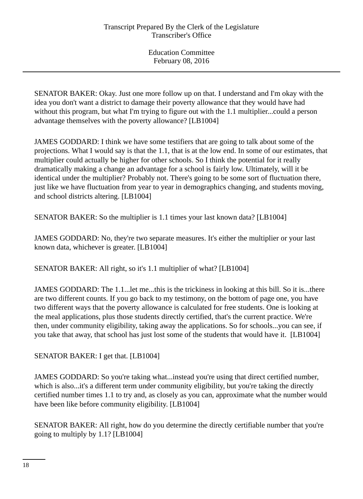SENATOR BAKER: Okay. Just one more follow up on that. I understand and I'm okay with the idea you don't want a district to damage their poverty allowance that they would have had without this program, but what I'm trying to figure out with the 1.1 multiplier...could a person advantage themselves with the poverty allowance? [LB1004]

JAMES GODDARD: I think we have some testifiers that are going to talk about some of the projections. What I would say is that the 1.1, that is at the low end. In some of our estimates, that multiplier could actually be higher for other schools. So I think the potential for it really dramatically making a change an advantage for a school is fairly low. Ultimately, will it be identical under the multiplier? Probably not. There's going to be some sort of fluctuation there, just like we have fluctuation from year to year in demographics changing, and students moving, and school districts altering. [LB1004]

SENATOR BAKER: So the multiplier is 1.1 times your last known data? [LB1004]

JAMES GODDARD: No, they're two separate measures. It's either the multiplier or your last known data, whichever is greater. [LB1004]

SENATOR BAKER: All right, so it's 1.1 multiplier of what? [LB1004]

JAMES GODDARD: The 1.1...let me...this is the trickiness in looking at this bill. So it is...there are two different counts. If you go back to my testimony, on the bottom of page one, you have two different ways that the poverty allowance is calculated for free students. One is looking at the meal applications, plus those students directly certified, that's the current practice. We're then, under community eligibility, taking away the applications. So for schools...you can see, if you take that away, that school has just lost some of the students that would have it. [LB1004]

SENATOR BAKER: I get that. [LB1004]

JAMES GODDARD: So you're taking what...instead you're using that direct certified number, which is also...it's a different term under community eligibility, but you're taking the directly certified number times 1.1 to try and, as closely as you can, approximate what the number would have been like before community eligibility. [LB1004]

SENATOR BAKER: All right, how do you determine the directly certifiable number that you're going to multiply by 1.1? [LB1004]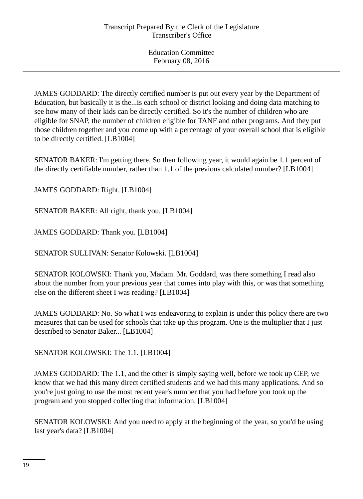JAMES GODDARD: The directly certified number is put out every year by the Department of Education, but basically it is the...is each school or district looking and doing data matching to see how many of their kids can be directly certified. So it's the number of children who are eligible for SNAP, the number of children eligible for TANF and other programs. And they put those children together and you come up with a percentage of your overall school that is eligible to be directly certified. [LB1004]

SENATOR BAKER: I'm getting there. So then following year, it would again be 1.1 percent of the directly certifiable number, rather than 1.1 of the previous calculated number? [LB1004]

JAMES GODDARD: Right. [LB1004]

SENATOR BAKER: All right, thank you. [LB1004]

JAMES GODDARD: Thank you. [LB1004]

SENATOR SULLIVAN: Senator Kolowski. [LB1004]

SENATOR KOLOWSKI: Thank you, Madam. Mr. Goddard, was there something I read also about the number from your previous year that comes into play with this, or was that something else on the different sheet I was reading? [LB1004]

JAMES GODDARD: No. So what I was endeavoring to explain is under this policy there are two measures that can be used for schools that take up this program. One is the multiplier that I just described to Senator Baker... [LB1004]

SENATOR KOLOWSKI: The 1.1. [LB1004]

JAMES GODDARD: The 1.1, and the other is simply saying well, before we took up CEP, we know that we had this many direct certified students and we had this many applications. And so you're just going to use the most recent year's number that you had before you took up the program and you stopped collecting that information. [LB1004]

SENATOR KOLOWSKI: And you need to apply at the beginning of the year, so you'd be using last year's data? [LB1004]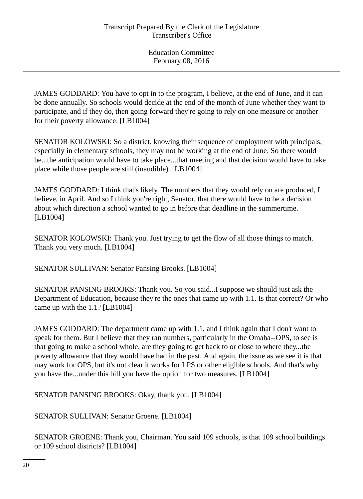JAMES GODDARD: You have to opt in to the program, I believe, at the end of June, and it can be done annually. So schools would decide at the end of the month of June whether they want to participate, and if they do, then going forward they're going to rely on one measure or another for their poverty allowance. [LB1004]

SENATOR KOLOWSKI: So a district, knowing their sequence of employment with principals, especially in elementary schools, they may not be working at the end of June. So there would be...the anticipation would have to take place...that meeting and that decision would have to take place while those people are still (inaudible). [LB1004]

JAMES GODDARD: I think that's likely. The numbers that they would rely on are produced, I believe, in April. And so I think you're right, Senator, that there would have to be a decision about which direction a school wanted to go in before that deadline in the summertime. [LB1004]

SENATOR KOLOWSKI: Thank you. Just trying to get the flow of all those things to match. Thank you very much. [LB1004]

SENATOR SULLIVAN: Senator Pansing Brooks. [LB1004]

SENATOR PANSING BROOKS: Thank you. So you said...I suppose we should just ask the Department of Education, because they're the ones that came up with 1.1. Is that correct? Or who came up with the 1.1? [LB1004]

JAMES GODDARD: The department came up with 1.1, and I think again that I don't want to speak for them. But I believe that they ran numbers, particularly in the Omaha--OPS, to see is that going to make a school whole, are they going to get back to or close to where they...the poverty allowance that they would have had in the past. And again, the issue as we see it is that may work for OPS, but it's not clear it works for LPS or other eligible schools. And that's why you have the...under this bill you have the option for two measures. [LB1004]

SENATOR PANSING BROOKS: Okay, thank you. [LB1004]

SENATOR SULLIVAN: Senator Groene. [LB1004]

SENATOR GROENE: Thank you, Chairman. You said 109 schools, is that 109 school buildings or 109 school districts? [LB1004]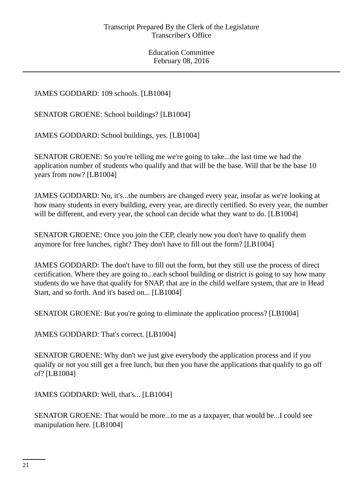# JAMES GODDARD: 109 schools. [LB1004]

SENATOR GROENE: School buildings? [LB1004]

JAMES GODDARD: School buildings, yes. [LB1004]

SENATOR GROENE: So you're telling me we're going to take...the last time we had the application number of students who qualify and that will be the base. Will that be the base 10 years from now? [LB1004]

JAMES GODDARD: No, it's...the numbers are changed every year, insofar as we're looking at how many students in every building, every year, are directly certified. So every year, the number will be different, and every year, the school can decide what they want to do. [LB1004]

SENATOR GROENE: Once you join the CEP, clearly now you don't have to qualify them anymore for free lunches, right? They don't have to fill out the form? [LB1004]

JAMES GODDARD: The don't have to fill out the form, but they still use the process of direct certification. Where they are going to...each school building or district is going to say how many students do we have that qualify for SNAP, that are in the child welfare system, that are in Head Start, and so forth. And it's based on... [LB1004]

SENATOR GROENE: But you're going to eliminate the application process? [LB1004]

JAMES GODDARD: That's correct. [LB1004]

SENATOR GROENE: Why don't we just give everybody the application process and if you qualify or not you still get a free lunch, but then you have the applications that qualify to go off of? [LB1004]

JAMES GODDARD: Well, that's... [LB1004]

SENATOR GROENE: That would be more...to me as a taxpayer, that would be...I could see manipulation here. [LB1004]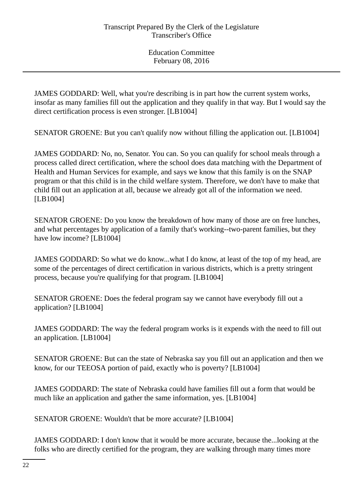JAMES GODDARD: Well, what you're describing is in part how the current system works, insofar as many families fill out the application and they qualify in that way. But I would say the direct certification process is even stronger. [LB1004]

SENATOR GROENE: But you can't qualify now without filling the application out. [LB1004]

JAMES GODDARD: No, no, Senator. You can. So you can qualify for school meals through a process called direct certification, where the school does data matching with the Department of Health and Human Services for example, and says we know that this family is on the SNAP program or that this child is in the child welfare system. Therefore, we don't have to make that child fill out an application at all, because we already got all of the information we need. [LB1004]

SENATOR GROENE: Do you know the breakdown of how many of those are on free lunches, and what percentages by application of a family that's working--two-parent families, but they have low income? [LB1004]

JAMES GODDARD: So what we do know...what I do know, at least of the top of my head, are some of the percentages of direct certification in various districts, which is a pretty stringent process, because you're qualifying for that program. [LB1004]

SENATOR GROENE: Does the federal program say we cannot have everybody fill out a application? [LB1004]

JAMES GODDARD: The way the federal program works is it expends with the need to fill out an application. [LB1004]

SENATOR GROENE: But can the state of Nebraska say you fill out an application and then we know, for our TEEOSA portion of paid, exactly who is poverty? [LB1004]

JAMES GODDARD: The state of Nebraska could have families fill out a form that would be much like an application and gather the same information, yes. [LB1004]

SENATOR GROENE: Wouldn't that be more accurate? [LB1004]

JAMES GODDARD: I don't know that it would be more accurate, because the...looking at the folks who are directly certified for the program, they are walking through many times more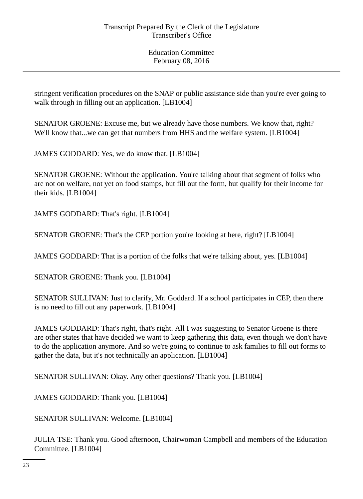stringent verification procedures on the SNAP or public assistance side than you're ever going to walk through in filling out an application. [LB1004]

SENATOR GROENE: Excuse me, but we already have those numbers. We know that, right? We'll know that...we can get that numbers from HHS and the welfare system. [LB1004]

JAMES GODDARD: Yes, we do know that. [LB1004]

SENATOR GROENE: Without the application. You're talking about that segment of folks who are not on welfare, not yet on food stamps, but fill out the form, but qualify for their income for their kids. [LB1004]

JAMES GODDARD: That's right. [LB1004]

SENATOR GROENE: That's the CEP portion you're looking at here, right? [LB1004]

JAMES GODDARD: That is a portion of the folks that we're talking about, yes. [LB1004]

SENATOR GROENE: Thank you. [LB1004]

SENATOR SULLIVAN: Just to clarify, Mr. Goddard. If a school participates in CEP, then there is no need to fill out any paperwork. [LB1004]

JAMES GODDARD: That's right, that's right. All I was suggesting to Senator Groene is there are other states that have decided we want to keep gathering this data, even though we don't have to do the application anymore. And so we're going to continue to ask families to fill out forms to gather the data, but it's not technically an application. [LB1004]

SENATOR SULLIVAN: Okay. Any other questions? Thank you. [LB1004]

JAMES GODDARD: Thank you. [LB1004]

SENATOR SULLIVAN: Welcome. [LB1004]

JULIA TSE: Thank you. Good afternoon, Chairwoman Campbell and members of the Education Committee. [LB1004]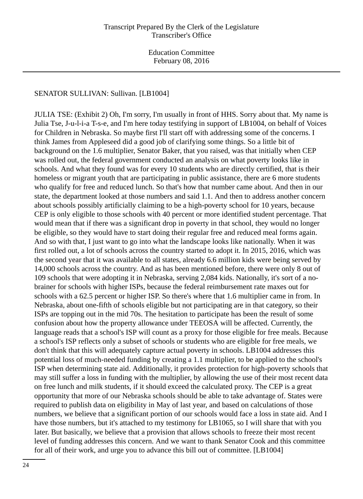### SENATOR SULLIVAN: Sullivan. [LB1004]

JULIA TSE: (Exhibit 2) Oh, I'm sorry, I'm usually in front of HHS. Sorry about that. My name is Julia Tse, J-u-l-i-a T-s-e, and I'm here today testifying in support of LB1004, on behalf of Voices for Children in Nebraska. So maybe first I'll start off with addressing some of the concerns. I think James from Appleseed did a good job of clarifying some things. So a little bit of background on the 1.6 multiplier, Senator Baker, that you raised, was that initially when CEP was rolled out, the federal government conducted an analysis on what poverty looks like in schools. And what they found was for every 10 students who are directly certified, that is their homeless or migrant youth that are participating in public assistance, there are 6 more students who qualify for free and reduced lunch. So that's how that number came about. And then in our state, the department looked at those numbers and said 1.1. And then to address another concern about schools possibly artificially claiming to be a high-poverty school for 10 years, because CEP is only eligible to those schools with 40 percent or more identified student percentage. That would mean that if there was a significant drop in poverty in that school, they would no longer be eligible, so they would have to start doing their regular free and reduced meal forms again. And so with that, I just want to go into what the landscape looks like nationally. When it was first rolled out, a lot of schools across the country started to adopt it. In 2015, 2016, which was the second year that it was available to all states, already 6.6 million kids were being served by 14,000 schools across the country. And as has been mentioned before, there were only 8 out of 109 schools that were adopting it in Nebraska, serving 2,084 kids. Nationally, it's sort of a nobrainer for schools with higher ISPs, because the federal reimbursement rate maxes out for schools with a 62.5 percent or higher ISP. So there's where that 1.6 multiplier came in from. In Nebraska, about one-fifth of schools eligible but not participating are in that category, so their ISPs are topping out in the mid 70s. The hesitation to participate has been the result of some confusion about how the property allowance under TEEOSA will be affected. Currently, the language reads that a school's ISP will count as a proxy for those eligible for free meals. Because a school's ISP reflects only a subset of schools or students who are eligible for free meals, we don't think that this will adequately capture actual poverty in schools. LB1004 addresses this potential loss of much-needed funding by creating a 1.1 multiplier, to be applied to the school's ISP when determining state aid. Additionally, it provides protection for high-poverty schools that may still suffer a loss in funding with the multiplier, by allowing the use of their most recent data on free lunch and milk students, if it should exceed the calculated proxy. The CEP is a great opportunity that more of our Nebraska schools should be able to take advantage of. States were required to publish data on eligibility in May of last year, and based on calculations of those numbers, we believe that a significant portion of our schools would face a loss in state aid. And I have those numbers, but it's attached to my testimony for LB1065, so I will share that with you later. But basically, we believe that a provision that allows schools to freeze their most recent level of funding addresses this concern. And we want to thank Senator Cook and this committee for all of their work, and urge you to advance this bill out of committee. [LB1004]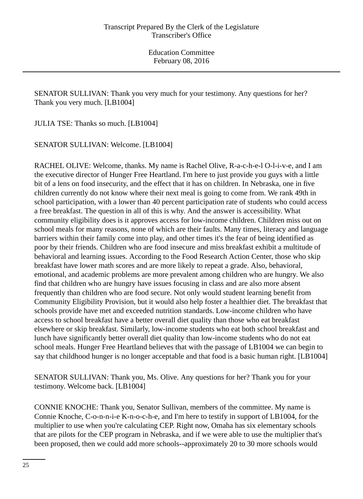SENATOR SULLIVAN: Thank you very much for your testimony. Any questions for her? Thank you very much. [LB1004]

JULIA TSE: Thanks so much. [LB1004]

SENATOR SULLIVAN: Welcome. [LB1004]

RACHEL OLIVE: Welcome, thanks. My name is Rachel Olive, R-a-c-h-e-l O-l-i-v-e, and I am the executive director of Hunger Free Heartland. I'm here to just provide you guys with a little bit of a lens on food insecurity, and the effect that it has on children. In Nebraska, one in five children currently do not know where their next meal is going to come from. We rank 49th in school participation, with a lower than 40 percent participation rate of students who could access a free breakfast. The question in all of this is why. And the answer is accessibility. What community eligibility does is it approves access for low-income children. Children miss out on school meals for many reasons, none of which are their faults. Many times, literacy and language barriers within their family come into play, and other times it's the fear of being identified as poor by their friends. Children who are food insecure and miss breakfast exhibit a multitude of behavioral and learning issues. According to the Food Research Action Center, those who skip breakfast have lower math scores and are more likely to repeat a grade. Also, behavioral, emotional, and academic problems are more prevalent among children who are hungry. We also find that children who are hungry have issues focusing in class and are also more absent frequently than children who are food secure. Not only would student learning benefit from Community Eligibility Provision, but it would also help foster a healthier diet. The breakfast that schools provide have met and exceeded nutrition standards. Low-income children who have access to school breakfast have a better overall diet quality than those who eat breakfast elsewhere or skip breakfast. Similarly, low-income students who eat both school breakfast and lunch have significantly better overall diet quality than low-income students who do not eat school meals. Hunger Free Heartland believes that with the passage of LB1004 we can begin to say that childhood hunger is no longer acceptable and that food is a basic human right. [LB1004]

SENATOR SULLIVAN: Thank you, Ms. Olive. Any questions for her? Thank you for your testimony. Welcome back. [LB1004]

CONNIE KNOCHE: Thank you, Senator Sullivan, members of the committee. My name is Connie Knoche, C-o-n-n-i-e K-n-o-c-h-e, and I'm here to testify in support of LB1004, for the multiplier to use when you're calculating CEP. Right now, Omaha has six elementary schools that are pilots for the CEP program in Nebraska, and if we were able to use the multiplier that's been proposed, then we could add more schools--approximately 20 to 30 more schools would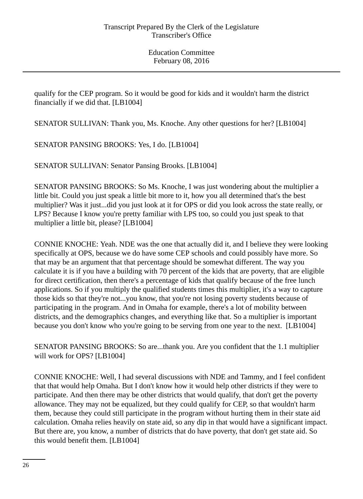qualify for the CEP program. So it would be good for kids and it wouldn't harm the district financially if we did that. [LB1004]

SENATOR SULLIVAN: Thank you, Ms. Knoche. Any other questions for her? [LB1004]

SENATOR PANSING BROOKS: Yes, I do. [LB1004]

SENATOR SULLIVAN: Senator Pansing Brooks. [LB1004]

SENATOR PANSING BROOKS: So Ms. Knoche, I was just wondering about the multiplier a little bit. Could you just speak a little bit more to it, how you all determined that's the best multiplier? Was it just...did you just look at it for OPS or did you look across the state really, or LPS? Because I know you're pretty familiar with LPS too, so could you just speak to that multiplier a little bit, please? [LB1004]

CONNIE KNOCHE: Yeah. NDE was the one that actually did it, and I believe they were looking specifically at OPS, because we do have some CEP schools and could possibly have more. So that may be an argument that that percentage should be somewhat different. The way you calculate it is if you have a building with 70 percent of the kids that are poverty, that are eligible for direct certification, then there's a percentage of kids that qualify because of the free lunch applications. So if you multiply the qualified students times this multiplier, it's a way to capture those kids so that they're not...you know, that you're not losing poverty students because of participating in the program. And in Omaha for example, there's a lot of mobility between districts, and the demographics changes, and everything like that. So a multiplier is important because you don't know who you're going to be serving from one year to the next. [LB1004]

SENATOR PANSING BROOKS: So are...thank you. Are you confident that the 1.1 multiplier will work for OPS? [LB1004]

CONNIE KNOCHE: Well, I had several discussions with NDE and Tammy, and I feel confident that that would help Omaha. But I don't know how it would help other districts if they were to participate. And then there may be other districts that would qualify, that don't get the poverty allowance. They may not be equalized, but they could qualify for CEP, so that wouldn't harm them, because they could still participate in the program without hurting them in their state aid calculation. Omaha relies heavily on state aid, so any dip in that would have a significant impact. But there are, you know, a number of districts that do have poverty, that don't get state aid. So this would benefit them. [LB1004]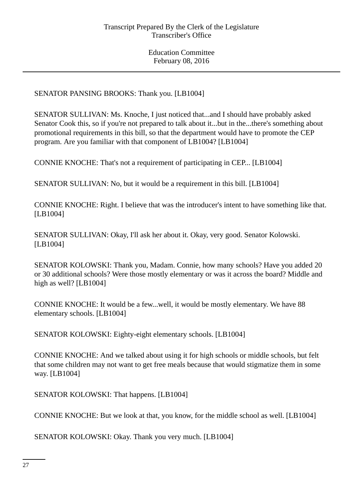SENATOR PANSING BROOKS: Thank you. [LB1004]

SENATOR SULLIVAN: Ms. Knoche, I just noticed that...and I should have probably asked Senator Cook this, so if you're not prepared to talk about it...but in the...there's something about promotional requirements in this bill, so that the department would have to promote the CEP program. Are you familiar with that component of LB1004? [LB1004]

CONNIE KNOCHE: That's not a requirement of participating in CEP... [LB1004]

SENATOR SULLIVAN: No, but it would be a requirement in this bill. [LB1004]

CONNIE KNOCHE: Right. I believe that was the introducer's intent to have something like that. [LB1004]

SENATOR SULLIVAN: Okay, I'll ask her about it. Okay, very good. Senator Kolowski. [LB1004]

SENATOR KOLOWSKI: Thank you, Madam. Connie, how many schools? Have you added 20 or 30 additional schools? Were those mostly elementary or was it across the board? Middle and high as well? [LB1004]

CONNIE KNOCHE: It would be a few...well, it would be mostly elementary. We have 88 elementary schools. [LB1004]

SENATOR KOLOWSKI: Eighty-eight elementary schools. [LB1004]

CONNIE KNOCHE: And we talked about using it for high schools or middle schools, but felt that some children may not want to get free meals because that would stigmatize them in some way. [LB1004]

SENATOR KOLOWSKI: That happens. [LB1004]

CONNIE KNOCHE: But we look at that, you know, for the middle school as well. [LB1004]

SENATOR KOLOWSKI: Okay. Thank you very much. [LB1004]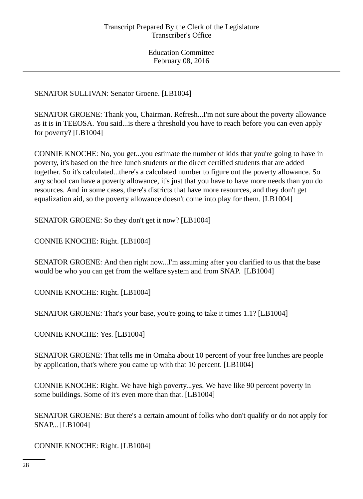SENATOR SULLIVAN: Senator Groene. [LB1004]

SENATOR GROENE: Thank you, Chairman. Refresh...I'm not sure about the poverty allowance as it is in TEEOSA. You said...is there a threshold you have to reach before you can even apply for poverty? [LB1004]

CONNIE KNOCHE: No, you get...you estimate the number of kids that you're going to have in poverty, it's based on the free lunch students or the direct certified students that are added together. So it's calculated...there's a calculated number to figure out the poverty allowance. So any school can have a poverty allowance, it's just that you have to have more needs than you do resources. And in some cases, there's districts that have more resources, and they don't get equalization aid, so the poverty allowance doesn't come into play for them. [LB1004]

SENATOR GROENE: So they don't get it now? [LB1004]

CONNIE KNOCHE: Right. [LB1004]

SENATOR GROENE: And then right now...I'm assuming after you clarified to us that the base would be who you can get from the welfare system and from SNAP. [LB1004]

CONNIE KNOCHE: Right. [LB1004]

SENATOR GROENE: That's your base, you're going to take it times 1.1? [LB1004]

CONNIE KNOCHE: Yes. [LB1004]

SENATOR GROENE: That tells me in Omaha about 10 percent of your free lunches are people by application, that's where you came up with that 10 percent. [LB1004]

CONNIE KNOCHE: Right. We have high poverty...yes. We have like 90 percent poverty in some buildings. Some of it's even more than that. [LB1004]

SENATOR GROENE: But there's a certain amount of folks who don't qualify or do not apply for SNAP... [LB1004]

CONNIE KNOCHE: Right. [LB1004]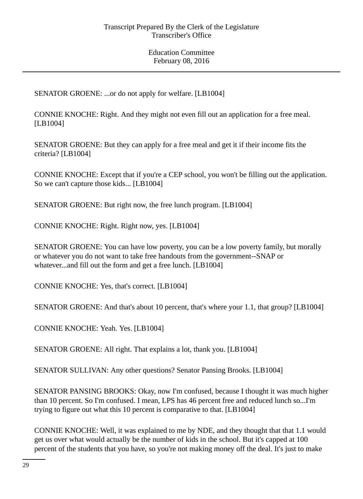SENATOR GROENE: ...or do not apply for welfare. [LB1004]

CONNIE KNOCHE: Right. And they might not even fill out an application for a free meal. [LB1004]

SENATOR GROENE: But they can apply for a free meal and get it if their income fits the criteria? [LB1004]

CONNIE KNOCHE: Except that if you're a CEP school, you won't be filling out the application. So we can't capture those kids... [LB1004]

SENATOR GROENE: But right now, the free lunch program. [LB1004]

CONNIE KNOCHE: Right. Right now, yes. [LB1004]

SENATOR GROENE: You can have low poverty, you can be a low poverty family, but morally or whatever you do not want to take free handouts from the government--SNAP or whatever...and fill out the form and get a free lunch. [LB1004]

CONNIE KNOCHE: Yes, that's correct. [LB1004]

SENATOR GROENE: And that's about 10 percent, that's where your 1.1, that group? [LB1004]

CONNIE KNOCHE: Yeah. Yes. [LB1004]

SENATOR GROENE: All right. That explains a lot, thank you. [LB1004]

SENATOR SULLIVAN: Any other questions? Senator Pansing Brooks. [LB1004]

SENATOR PANSING BROOKS: Okay, now I'm confused, because I thought it was much higher than 10 percent. So I'm confused. I mean, LPS has 46 percent free and reduced lunch so...I'm trying to figure out what this 10 percent is comparative to that. [LB1004]

CONNIE KNOCHE: Well, it was explained to me by NDE, and they thought that that 1.1 would get us over what would actually be the number of kids in the school. But it's capped at 100 percent of the students that you have, so you're not making money off the deal. It's just to make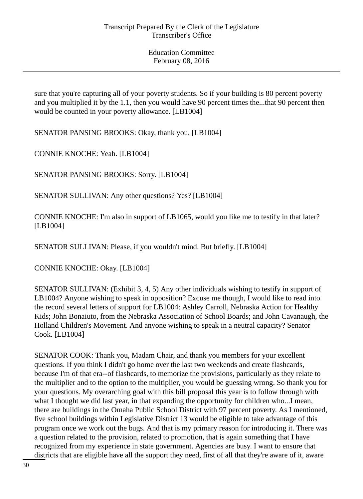sure that you're capturing all of your poverty students. So if your building is 80 percent poverty and you multiplied it by the 1.1, then you would have 90 percent times the...that 90 percent then would be counted in your poverty allowance. [LB1004]

SENATOR PANSING BROOKS: Okay, thank you. [LB1004]

CONNIE KNOCHE: Yeah. [LB1004]

SENATOR PANSING BROOKS: Sorry. [LB1004]

SENATOR SULLIVAN: Any other questions? Yes? [LB1004]

CONNIE KNOCHE: I'm also in support of LB1065, would you like me to testify in that later? [LB1004]

SENATOR SULLIVAN: Please, if you wouldn't mind. But briefly. [LB1004]

CONNIE KNOCHE: Okay. [LB1004]

SENATOR SULLIVAN: (Exhibit 3, 4, 5) Any other individuals wishing to testify in support of LB1004? Anyone wishing to speak in opposition? Excuse me though, I would like to read into the record several letters of support for LB1004: Ashley Carroll, Nebraska Action for Healthy Kids; John Bonaiuto, from the Nebraska Association of School Boards; and John Cavanaugh, the Holland Children's Movement. And anyone wishing to speak in a neutral capacity? Senator Cook. [LB1004]

SENATOR COOK: Thank you, Madam Chair, and thank you members for your excellent questions. If you think I didn't go home over the last two weekends and create flashcards, because I'm of that era--of flashcards, to memorize the provisions, particularly as they relate to the multiplier and to the option to the multiplier, you would be guessing wrong. So thank you for your questions. My overarching goal with this bill proposal this year is to follow through with what I thought we did last year, in that expanding the opportunity for children who...I mean, there are buildings in the Omaha Public School District with 97 percent poverty. As I mentioned, five school buildings within Legislative District 13 would be eligible to take advantage of this program once we work out the bugs. And that is my primary reason for introducing it. There was a question related to the provision, related to promotion, that is again something that I have recognized from my experience in state government. Agencies are busy. I want to ensure that districts that are eligible have all the support they need, first of all that they're aware of it, aware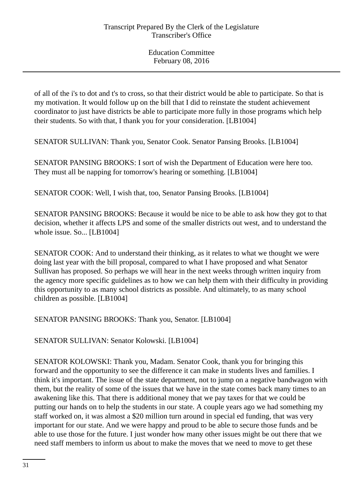of all of the i's to dot and t's to cross, so that their district would be able to participate. So that is my motivation. It would follow up on the bill that I did to reinstate the student achievement coordinator to just have districts be able to participate more fully in those programs which help their students. So with that, I thank you for your consideration. [LB1004]

SENATOR SULLIVAN: Thank you, Senator Cook. Senator Pansing Brooks. [LB1004]

SENATOR PANSING BROOKS: I sort of wish the Department of Education were here too. They must all be napping for tomorrow's hearing or something. [LB1004]

SENATOR COOK: Well, I wish that, too, Senator Pansing Brooks. [LB1004]

SENATOR PANSING BROOKS: Because it would be nice to be able to ask how they got to that decision, whether it affects LPS and some of the smaller districts out west, and to understand the whole issue. So... [LB1004]

SENATOR COOK: And to understand their thinking, as it relates to what we thought we were doing last year with the bill proposal, compared to what I have proposed and what Senator Sullivan has proposed. So perhaps we will hear in the next weeks through written inquiry from the agency more specific guidelines as to how we can help them with their difficulty in providing this opportunity to as many school districts as possible. And ultimately, to as many school children as possible. [LB1004]

SENATOR PANSING BROOKS: Thank you, Senator. [LB1004]

SENATOR SULLIVAN: Senator Kolowski. [LB1004]

SENATOR KOLOWSKI: Thank you, Madam. Senator Cook, thank you for bringing this forward and the opportunity to see the difference it can make in students lives and families. I think it's important. The issue of the state department, not to jump on a negative bandwagon with them, but the reality of some of the issues that we have in the state comes back many times to an awakening like this. That there is additional money that we pay taxes for that we could be putting our hands on to help the students in our state. A couple years ago we had something my staff worked on, it was almost a \$20 million turn around in special ed funding, that was very important for our state. And we were happy and proud to be able to secure those funds and be able to use those for the future. I just wonder how many other issues might be out there that we need staff members to inform us about to make the moves that we need to move to get these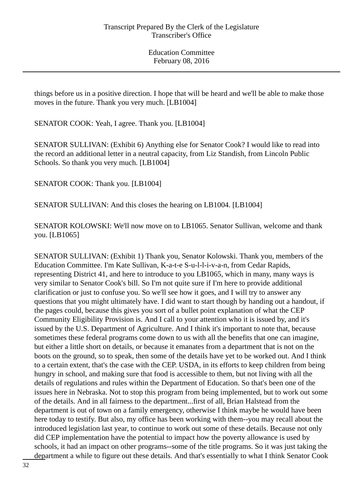things before us in a positive direction. I hope that will be heard and we'll be able to make those moves in the future. Thank you very much. [LB1004]

SENATOR COOK: Yeah, I agree. Thank you. [LB1004]

SENATOR SULLIVAN: (Exhibit 6) Anything else for Senator Cook? I would like to read into the record an additional letter in a neutral capacity, from Liz Standish, from Lincoln Public Schools. So thank you very much. [LB1004]

SENATOR COOK: Thank you. [LB1004]

SENATOR SULLIVAN: And this closes the hearing on LB1004. [LB1004]

SENATOR KOLOWSKI: We'll now move on to LB1065. Senator Sullivan, welcome and thank you. [LB1065]

SENATOR SULLIVAN: (Exhibit 1) Thank you, Senator Kolowski. Thank you, members of the Education Committee. I'm Kate Sullivan, K-a-t-e S-u-l-l-i-v-a-n, from Cedar Rapids, representing District 41, and here to introduce to you LB1065, which in many, many ways is very similar to Senator Cook's bill. So I'm not quite sure if I'm here to provide additional clarification or just to confuse you. So we'll see how it goes, and I will try to answer any questions that you might ultimately have. I did want to start though by handing out a handout, if the pages could, because this gives you sort of a bullet point explanation of what the CEP Community Eligibility Provision is. And I call to your attention who it is issued by, and it's issued by the U.S. Department of Agriculture. And I think it's important to note that, because sometimes these federal programs come down to us with all the benefits that one can imagine, but either a little short on details, or because it emanates from a department that is not on the boots on the ground, so to speak, then some of the details have yet to be worked out. And I think to a certain extent, that's the case with the CEP. USDA, in its efforts to keep children from being hungry in school, and making sure that food is accessible to them, but not living with all the details of regulations and rules within the Department of Education. So that's been one of the issues here in Nebraska. Not to stop this program from being implemented, but to work out some of the details. And in all fairness to the department...first of all, Brian Halstead from the department is out of town on a family emergency, otherwise I think maybe he would have been here today to testify. But also, my office has been working with them--you may recall about the introduced legislation last year, to continue to work out some of these details. Because not only did CEP implementation have the potential to impact how the poverty allowance is used by schools, it had an impact on other programs--some of the title programs. So it was just taking the department a while to figure out these details. And that's essentially to what I think Senator Cook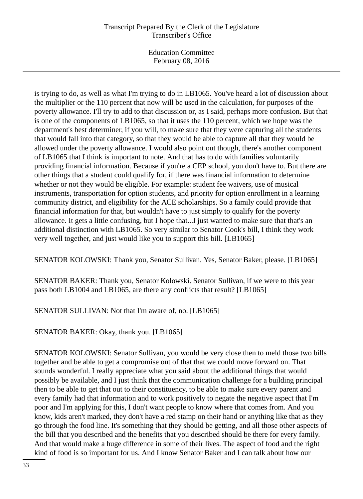## Transcript Prepared By the Clerk of the Legislature Transcriber's Office

Education Committee February 08, 2016

is trying to do, as well as what I'm trying to do in LB1065. You've heard a lot of discussion about the multiplier or the 110 percent that now will be used in the calculation, for purposes of the poverty allowance. I'll try to add to that discussion or, as I said, perhaps more confusion. But that is one of the components of LB1065, so that it uses the 110 percent, which we hope was the department's best determiner, if you will, to make sure that they were capturing all the students that would fall into that category, so that they would be able to capture all that they would be allowed under the poverty allowance. I would also point out though, there's another component of LB1065 that I think is important to note. And that has to do with families voluntarily providing financial information. Because if you're a CEP school, you don't have to. But there are other things that a student could qualify for, if there was financial information to determine whether or not they would be eligible. For example: student fee waivers, use of musical instruments, transportation for option students, and priority for option enrollment in a learning community district, and eligibility for the ACE scholarships. So a family could provide that financial information for that, but wouldn't have to just simply to qualify for the poverty allowance. It gets a little confusing, but I hope that...I just wanted to make sure that that's an additional distinction with LB1065. So very similar to Senator Cook's bill, I think they work very well together, and just would like you to support this bill. [LB1065]

SENATOR KOLOWSKI: Thank you, Senator Sullivan. Yes, Senator Baker, please. [LB1065]

SENATOR BAKER: Thank you, Senator Kolowski. Senator Sullivan, if we were to this year pass both LB1004 and LB1065, are there any conflicts that result? [LB1065]

SENATOR SULLIVAN: Not that I'm aware of, no. [LB1065]

SENATOR BAKER: Okay, thank you. [LB1065]

SENATOR KOLOWSKI: Senator Sullivan, you would be very close then to meld those two bills together and be able to get a compromise out of that that we could move forward on. That sounds wonderful. I really appreciate what you said about the additional things that would possibly be available, and I just think that the communication challenge for a building principal then to be able to get that out to their constituency, to be able to make sure every parent and every family had that information and to work positively to negate the negative aspect that I'm poor and I'm applying for this, I don't want people to know where that comes from. And you know, kids aren't marked, they don't have a red stamp on their hand or anything like that as they go through the food line. It's something that they should be getting, and all those other aspects of the bill that you described and the benefits that you described should be there for every family. And that would make a huge difference in some of their lives. The aspect of food and the right kind of food is so important for us. And I know Senator Baker and I can talk about how our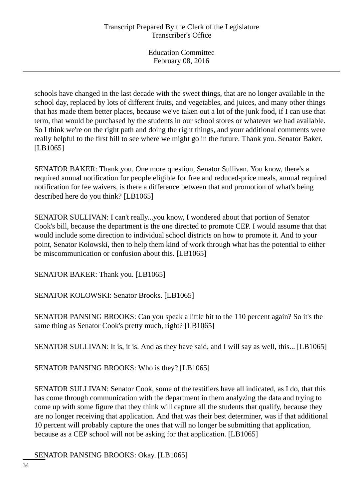schools have changed in the last decade with the sweet things, that are no longer available in the school day, replaced by lots of different fruits, and vegetables, and juices, and many other things that has made them better places, because we've taken out a lot of the junk food, if I can use that term, that would be purchased by the students in our school stores or whatever we had available. So I think we're on the right path and doing the right things, and your additional comments were really helpful to the first bill to see where we might go in the future. Thank you. Senator Baker. [LB1065]

SENATOR BAKER: Thank you. One more question, Senator Sullivan. You know, there's a required annual notification for people eligible for free and reduced-price meals, annual required notification for fee waivers, is there a difference between that and promotion of what's being described here do you think? [LB1065]

SENATOR SULLIVAN: I can't really...you know, I wondered about that portion of Senator Cook's bill, because the department is the one directed to promote CEP. I would assume that that would include some direction to individual school districts on how to promote it. And to your point, Senator Kolowski, then to help them kind of work through what has the potential to either be miscommunication or confusion about this. [LB1065]

SENATOR BAKER: Thank you. [LB1065]

SENATOR KOLOWSKI: Senator Brooks. [LB1065]

SENATOR PANSING BROOKS: Can you speak a little bit to the 110 percent again? So it's the same thing as Senator Cook's pretty much, right? [LB1065]

SENATOR SULLIVAN: It is, it is. And as they have said, and I will say as well, this... [LB1065]

SENATOR PANSING BROOKS: Who is they? [LB1065]

SENATOR SULLIVAN: Senator Cook, some of the testifiers have all indicated, as I do, that this has come through communication with the department in them analyzing the data and trying to come up with some figure that they think will capture all the students that qualify, because they are no longer receiving that application. And that was their best determiner, was if that additional 10 percent will probably capture the ones that will no longer be submitting that application, because as a CEP school will not be asking for that application. [LB1065]

SENATOR PANSING BROOKS: Okay. [LB1065]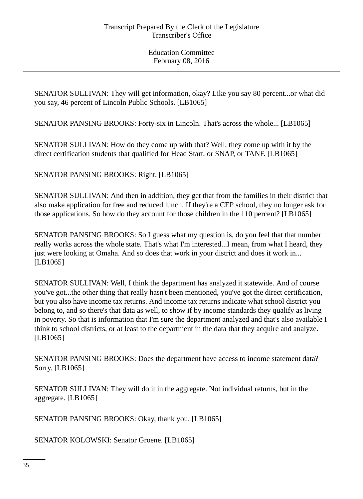SENATOR SULLIVAN: They will get information, okay? Like you say 80 percent...or what did you say, 46 percent of Lincoln Public Schools. [LB1065]

SENATOR PANSING BROOKS: Forty-six in Lincoln. That's across the whole... [LB1065]

SENATOR SULLIVAN: How do they come up with that? Well, they come up with it by the direct certification students that qualified for Head Start, or SNAP, or TANF. [LB1065]

SENATOR PANSING BROOKS: Right. [LB1065]

SENATOR SULLIVAN: And then in addition, they get that from the families in their district that also make application for free and reduced lunch. If they're a CEP school, they no longer ask for those applications. So how do they account for those children in the 110 percent? [LB1065]

SENATOR PANSING BROOKS: So I guess what my question is, do you feel that that number really works across the whole state. That's what I'm interested...I mean, from what I heard, they just were looking at Omaha. And so does that work in your district and does it work in... [LB1065]

SENATOR SULLIVAN: Well, I think the department has analyzed it statewide. And of course you've got...the other thing that really hasn't been mentioned, you've got the direct certification, but you also have income tax returns. And income tax returns indicate what school district you belong to, and so there's that data as well, to show if by income standards they qualify as living in poverty. So that is information that I'm sure the department analyzed and that's also available I think to school districts, or at least to the department in the data that they acquire and analyze. [LB1065]

SENATOR PANSING BROOKS: Does the department have access to income statement data? Sorry. [LB1065]

SENATOR SULLIVAN: They will do it in the aggregate. Not individual returns, but in the aggregate. [LB1065]

SENATOR PANSING BROOKS: Okay, thank you. [LB1065]

SENATOR KOLOWSKI: Senator Groene. [LB1065]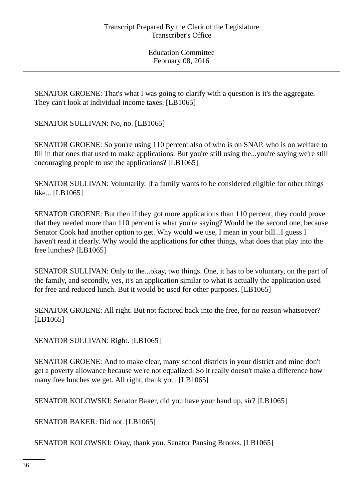SENATOR GROENE: That's what I was going to clarify with a question is it's the aggregate. They can't look at individual income taxes. [LB1065]

SENATOR SULLIVAN: No, no. [LB1065]

SENATOR GROENE: So you're using 110 percent also of who is on SNAP, who is on welfare to fill in that ones that used to make applications. But you're still using the...you're saying we're still encouraging people to use the applications? [LB1065]

SENATOR SULLIVAN: Voluntarily. If a family wants to be considered eligible for other things like... [LB1065]

SENATOR GROENE: But then if they got more applications than 110 percent, they could prove that they needed more than 110 percent is what you're saying? Would be the second one, because Senator Cook had another option to get. Why would we use, I mean in your bill...I guess I haven't read it clearly. Why would the applications for other things, what does that play into the free lunches? [LB1065]

SENATOR SULLIVAN: Only to the...okay, two things. One, it has to be voluntary, on the part of the family, and secondly, yes, it's an application similar to what is actually the application used for free and reduced lunch. But it would be used for other purposes. [LB1065]

SENATOR GROENE: All right. But not factored back into the free, for no reason whatsoever? [LB1065]

SENATOR SULLIVAN: Right. [LB1065]

SENATOR GROENE: And to make clear, many school districts in your district and mine don't get a poverty allowance because we're not equalized. So it really doesn't make a difference how many free lunches we get. All right, thank you. [LB1065]

SENATOR KOLOWSKI: Senator Baker, did you have your hand up, sir? [LB1065]

SENATOR BAKER: Did not. [LB1065]

SENATOR KOLOWSKI: Okay, thank you. Senator Pansing Brooks. [LB1065]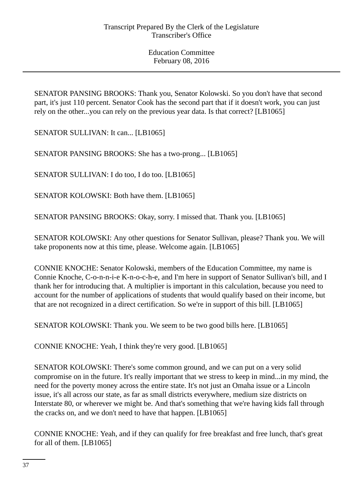SENATOR PANSING BROOKS: Thank you, Senator Kolowski. So you don't have that second part, it's just 110 percent. Senator Cook has the second part that if it doesn't work, you can just rely on the other...you can rely on the previous year data. Is that correct? [LB1065]

SENATOR SULLIVAN: It can... [LB1065]

SENATOR PANSING BROOKS: She has a two-prong... [LB1065]

SENATOR SULLIVAN: I do too, I do too. [LB1065]

SENATOR KOLOWSKI: Both have them. [LB1065]

SENATOR PANSING BROOKS: Okay, sorry. I missed that. Thank you. [LB1065]

SENATOR KOLOWSKI: Any other questions for Senator Sullivan, please? Thank you. We will take proponents now at this time, please. Welcome again. [LB1065]

CONNIE KNOCHE: Senator Kolowski, members of the Education Committee, my name is Connie Knoche, C-o-n-n-i-e K-n-o-c-h-e, and I'm here in support of Senator Sullivan's bill, and I thank her for introducing that. A multiplier is important in this calculation, because you need to account for the number of applications of students that would qualify based on their income, but that are not recognized in a direct certification. So we're in support of this bill. [LB1065]

SENATOR KOLOWSKI: Thank you. We seem to be two good bills here. [LB1065]

CONNIE KNOCHE: Yeah, I think they're very good. [LB1065]

SENATOR KOLOWSKI: There's some common ground, and we can put on a very solid compromise on in the future. It's really important that we stress to keep in mind...in my mind, the need for the poverty money across the entire state. It's not just an Omaha issue or a Lincoln issue, it's all across our state, as far as small districts everywhere, medium size districts on Interstate 80, or wherever we might be. And that's something that we're having kids fall through the cracks on, and we don't need to have that happen. [LB1065]

CONNIE KNOCHE: Yeah, and if they can qualify for free breakfast and free lunch, that's great for all of them. [LB1065]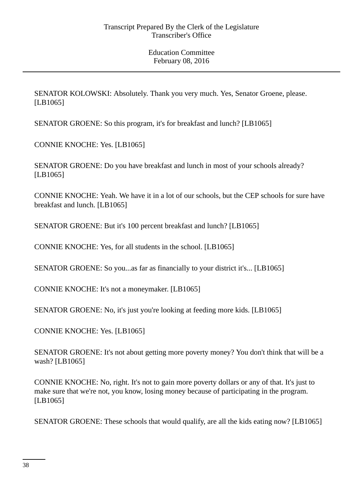SENATOR KOLOWSKI: Absolutely. Thank you very much. Yes, Senator Groene, please. [LB1065]

SENATOR GROENE: So this program, it's for breakfast and lunch? [LB1065]

CONNIE KNOCHE: Yes. [LB1065]

SENATOR GROENE: Do you have breakfast and lunch in most of your schools already? [LB1065]

CONNIE KNOCHE: Yeah. We have it in a lot of our schools, but the CEP schools for sure have breakfast and lunch. [LB1065]

SENATOR GROENE: But it's 100 percent breakfast and lunch? [LB1065]

CONNIE KNOCHE: Yes, for all students in the school. [LB1065]

SENATOR GROENE: So you...as far as financially to your district it's... [LB1065]

CONNIE KNOCHE: It's not a moneymaker. [LB1065]

SENATOR GROENE: No, it's just you're looking at feeding more kids. [LB1065]

CONNIE KNOCHE: Yes. [LB1065]

SENATOR GROENE: It's not about getting more poverty money? You don't think that will be a wash? [LB1065]

CONNIE KNOCHE: No, right. It's not to gain more poverty dollars or any of that. It's just to make sure that we're not, you know, losing money because of participating in the program. [LB1065]

SENATOR GROENE: These schools that would qualify, are all the kids eating now? [LB1065]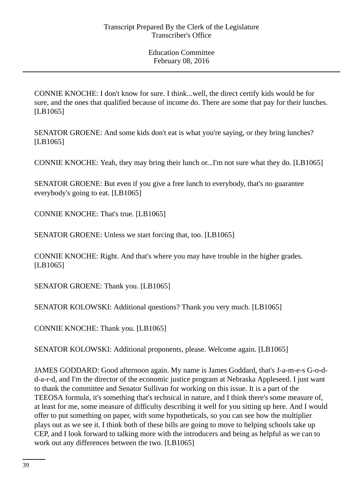CONNIE KNOCHE: I don't know for sure. I think...well, the direct certify kids would be for sure, and the ones that qualified because of income do. There are some that pay for their lunches. [LB1065]

SENATOR GROENE: And some kids don't eat is what you're saying, or they bring lunches? [LB1065]

CONNIE KNOCHE: Yeah, they may bring their lunch or...I'm not sure what they do. [LB1065]

SENATOR GROENE: But even if you give a free lunch to everybody, that's no guarantee everybody's going to eat. [LB1065]

CONNIE KNOCHE: That's true. [LB1065]

SENATOR GROENE: Unless we start forcing that, too. [LB1065]

CONNIE KNOCHE: Right. And that's where you may have trouble in the higher grades. [LB1065]

SENATOR GROENE: Thank you. [LB1065]

SENATOR KOLOWSKI: Additional questions? Thank you very much. [LB1065]

CONNIE KNOCHE: Thank you. [LB1065]

SENATOR KOLOWSKI: Additional proponents, please. Welcome again. [LB1065]

JAMES GODDARD: Good afternoon again. My name is James Goddard, that's J-a-m-e-s G-o-dd-a-r-d, and I'm the director of the economic justice program at Nebraska Appleseed. I just want to thank the committee and Senator Sullivan for working on this issue. It is a part of the TEEOSA formula, it's something that's technical in nature, and I think there's some measure of, at least for me, some measure of difficulty describing it well for you sitting up here. And I would offer to put something on paper, with some hypotheticals, so you can see how the multiplier plays out as we see it. I think both of these bills are going to move to helping schools take up CEP, and I look forward to talking more with the introducers and being as helpful as we can to work out any differences between the two. [LB1065]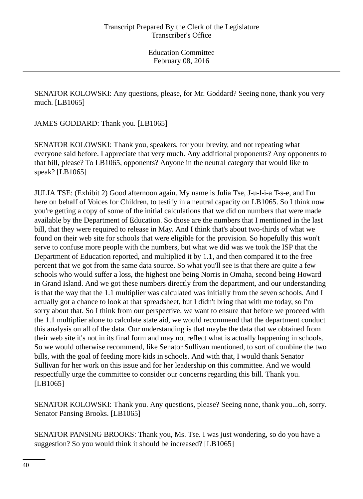SENATOR KOLOWSKI: Any questions, please, for Mr. Goddard? Seeing none, thank you very much. [LB1065]

JAMES GODDARD: Thank you. [LB1065]

SENATOR KOLOWSKI: Thank you, speakers, for your brevity, and not repeating what everyone said before. I appreciate that very much. Any additional proponents? Any opponents to that bill, please? To LB1065, opponents? Anyone in the neutral category that would like to speak? [LB1065]

JULIA TSE: (Exhibit 2) Good afternoon again. My name is Julia Tse, J-u-l-i-a T-s-e, and I'm here on behalf of Voices for Children, to testify in a neutral capacity on LB1065. So I think now you're getting a copy of some of the initial calculations that we did on numbers that were made available by the Department of Education. So those are the numbers that I mentioned in the last bill, that they were required to release in May. And I think that's about two-thirds of what we found on their web site for schools that were eligible for the provision. So hopefully this won't serve to confuse more people with the numbers, but what we did was we took the ISP that the Department of Education reported, and multiplied it by 1.1, and then compared it to the free percent that we got from the same data source. So what you'll see is that there are quite a few schools who would suffer a loss, the highest one being Norris in Omaha, second being Howard in Grand Island. And we got these numbers directly from the department, and our understanding is that the way that the 1.1 multiplier was calculated was initially from the seven schools. And I actually got a chance to look at that spreadsheet, but I didn't bring that with me today, so I'm sorry about that. So I think from our perspective, we want to ensure that before we proceed with the 1.1 multiplier alone to calculate state aid, we would recommend that the department conduct this analysis on all of the data. Our understanding is that maybe the data that we obtained from their web site it's not in its final form and may not reflect what is actually happening in schools. So we would otherwise recommend, like Senator Sullivan mentioned, to sort of combine the two bills, with the goal of feeding more kids in schools. And with that, I would thank Senator Sullivan for her work on this issue and for her leadership on this committee. And we would respectfully urge the committee to consider our concerns regarding this bill. Thank you. [LB1065]

SENATOR KOLOWSKI: Thank you. Any questions, please? Seeing none, thank you...oh, sorry. Senator Pansing Brooks. [LB1065]

SENATOR PANSING BROOKS: Thank you, Ms. Tse. I was just wondering, so do you have a suggestion? So you would think it should be increased? [LB1065]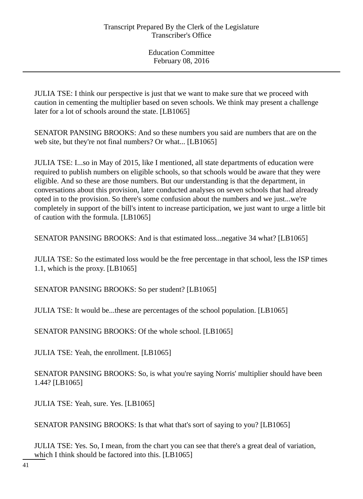JULIA TSE: I think our perspective is just that we want to make sure that we proceed with caution in cementing the multiplier based on seven schools. We think may present a challenge later for a lot of schools around the state. [LB1065]

SENATOR PANSING BROOKS: And so these numbers you said are numbers that are on the web site, but they're not final numbers? Or what... [LB1065]

JULIA TSE: I...so in May of 2015, like I mentioned, all state departments of education were required to publish numbers on eligible schools, so that schools would be aware that they were eligible. And so these are those numbers. But our understanding is that the department, in conversations about this provision, later conducted analyses on seven schools that had already opted in to the provision. So there's some confusion about the numbers and we just...we're completely in support of the bill's intent to increase participation, we just want to urge a little bit of caution with the formula. [LB1065]

SENATOR PANSING BROOKS: And is that estimated loss...negative 34 what? [LB1065]

JULIA TSE: So the estimated loss would be the free percentage in that school, less the ISP times 1.1, which is the proxy. [LB1065]

SENATOR PANSING BROOKS: So per student? [LB1065]

JULIA TSE: It would be...these are percentages of the school population. [LB1065]

SENATOR PANSING BROOKS: Of the whole school. [LB1065]

JULIA TSE: Yeah, the enrollment. [LB1065]

SENATOR PANSING BROOKS: So, is what you're saying Norris' multiplier should have been 1.44? [LB1065]

JULIA TSE: Yeah, sure. Yes. [LB1065]

SENATOR PANSING BROOKS: Is that what that's sort of saying to you? [LB1065]

JULIA TSE: Yes. So, I mean, from the chart you can see that there's a great deal of variation, which I think should be factored into this. [LB1065]